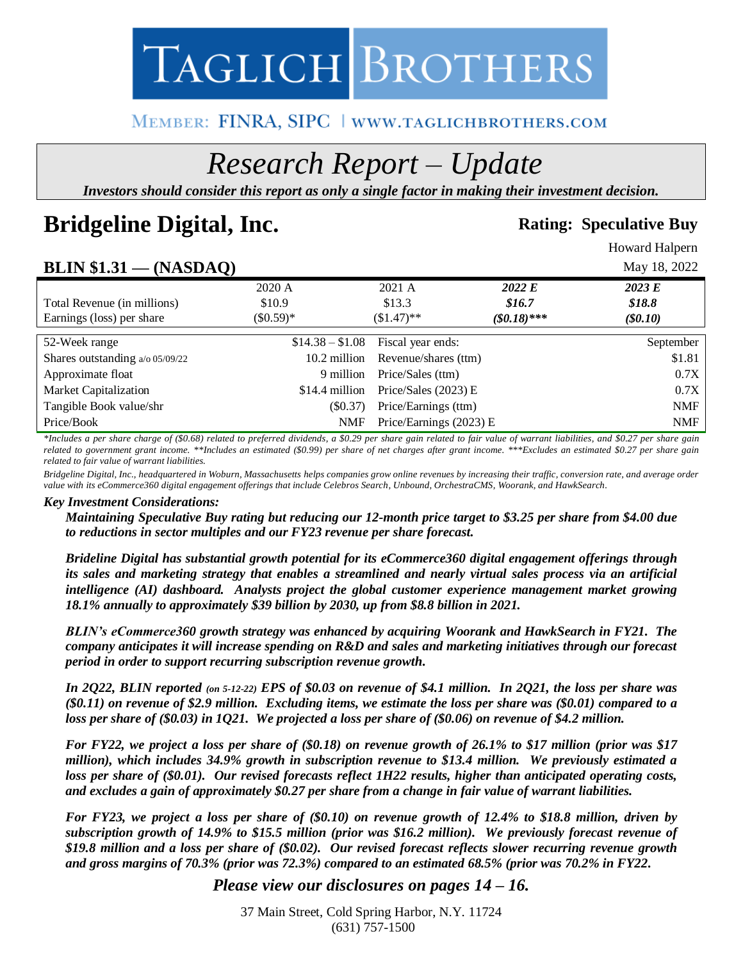

# MEMBER: FINRA, SIPC | www.taglichbrothers.com

# *Research Report – Update*

*Investors should consider this report as only a single factor in making their investment decision.*

# **Bridgeline Digital, Inc. Rating: Speculative Buy Rating: Speculative Buy**

Howard Halpern

# **BLIN \$1.31 — (NASDAQ)** May 18, 2022

|                                 | $\sim$ $\sim$ $\sim$ $\sim$ $\sim$ $\sim$ $\sim$ $\sim$ |                  |                         |              |            |
|---------------------------------|---------------------------------------------------------|------------------|-------------------------|--------------|------------|
|                                 | 2020 A                                                  |                  | 2021 A                  | 2022 E       | 2023 E     |
| Total Revenue (in millions)     | \$10.9                                                  |                  | \$13.3                  | \$16.7       | \$18.8     |
| Earnings (loss) per share       | $(\$0.59)*$                                             |                  | $$1.47$ <sup>**</sup>   | $($0.18)***$ | $(\$0.10)$ |
|                                 |                                                         |                  |                         |              |            |
| 52-Week range                   |                                                         | $$14.38 - $1.08$ | Fiscal year ends:       |              | September  |
| Shares outstanding a/o 05/09/22 |                                                         | 10.2 million     | Revenue/shares (ttm)    |              | \$1.81     |
| Approximate float               |                                                         | 9 million        | Price/Sales (ttm)       |              | 0.7X       |
| <b>Market Capitalization</b>    |                                                         | \$14.4 million   | Price/Sales (2023) E    |              | 0.7X       |
| Tangible Book value/shr         |                                                         | (S0.37)          | Price/Earnings (ttm)    |              | <b>NMF</b> |
| Price/Book                      |                                                         | <b>NMF</b>       | Price/Earnings (2023) E |              | <b>NMF</b> |

*\*Includes a per share charge of (\$0.68) related to preferred dividends, a \$0.29 per share gain related to fair value of warrant liabilities, and \$0.27 per share gain*  related to government grant income. \*\*Includes an estimated (\$0.99) per share of net charges after grant income. \*\*\*Excludes an estimated \$0.27 per share gain *related to fair value of warrant liabilities.*

*Bridgeline Digital, Inc., headquartered in Woburn, Massachusetts helps companies grow online revenues by increasing their traffic, conversion rate, and average order value with its eCommerce360 digital engagement offerings that include Celebros Search, Unbound, OrchestraCMS, Woorank, and HawkSearch.* 

#### *Key Investment Considerations:*

*Maintaining Speculative Buy rating but reducing our 12-month price target to \$3.25 per share from \$4.00 due to reductions in sector multiples and our FY23 revenue per share forecast.*

*Brideline Digital has substantial growth potential for its eCommerce360 digital engagement offerings through its sales and marketing strategy that enables a streamlined and nearly virtual sales process via an artificial intelligence (AI) dashboard. Analysts project the global customer experience management market growing 18.1% annually to approximately \$39 billion by 2030, up from \$8.8 billion in 2021.* 

*BLIN's eCommerce360 growth strategy was enhanced by acquiring Woorank and HawkSearch in FY21. The company anticipates it will increase spending on R&D and sales and marketing initiatives through our forecast period in order to support recurring subscription revenue growth.* 

*In 2Q22, BLIN reported (on 5-12-22) EPS of \$0.03 on revenue of \$4.1 million. In 2Q21, the loss per share was (\$0.11) on revenue of \$2.9 million. Excluding items, we estimate the loss per share was (\$0.01) compared to a loss per share of (\$0.03) in 1Q21. We projected a loss per share of (\$0.06) on revenue of \$4.2 million.*

*For FY22, we project a loss per share of (\$0.18) on revenue growth of 26.1% to \$17 million (prior was \$17 million), which includes 34.9% growth in subscription revenue to \$13.4 million. We previously estimated a loss per share of (\$0.01). Our revised forecasts reflect 1H22 results, higher than anticipated operating costs, and excludes a gain of approximately \$0.27 per share from a change in fair value of warrant liabilities.*

*For FY23, we project a loss per share of (\$0.10) on revenue growth of 12.4% to \$18.8 million, driven by subscription growth of 14.9% to \$15.5 million (prior was \$16.2 million). We previously forecast revenue of \$19.8 million and a loss per share of (\$0.02). Our revised forecast reflects slower recurring revenue growth and gross margins of 70.3% (prior was 72.3%) compared to an estimated 68.5% (prior was 70.2% in FY22.* 

# *Please view our disclosures on pages 14 – 16.*

37 Main Street, Cold Spring Harbor, N.Y. 11724 (631) 757-1500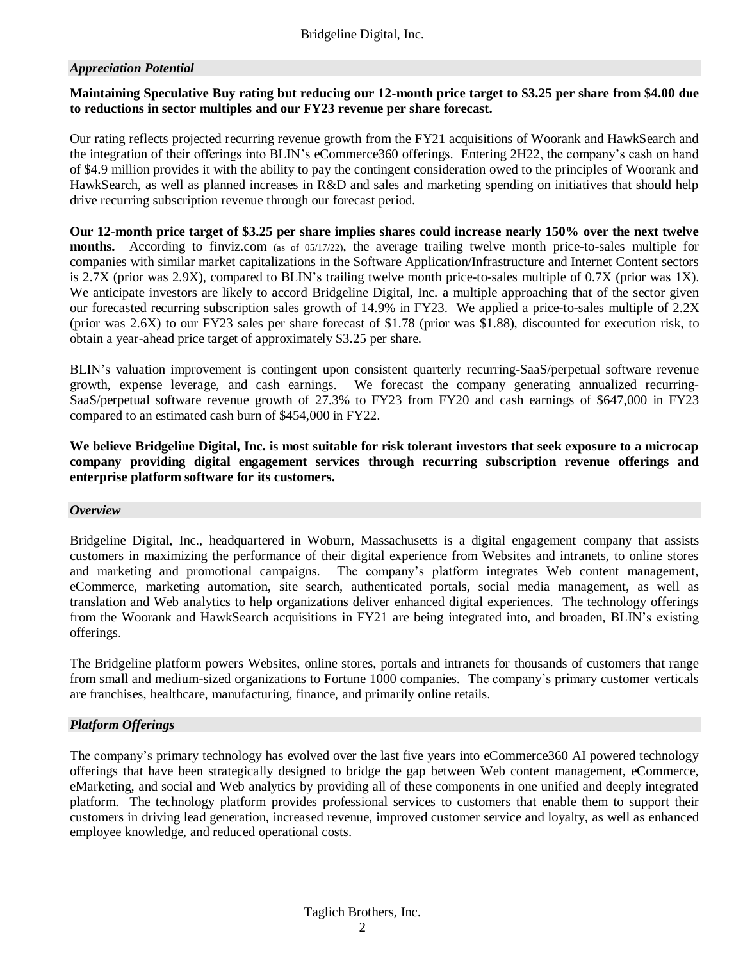#### *Appreciation Potential*

#### **Maintaining Speculative Buy rating but reducing our 12-month price target to \$3.25 per share from \$4.00 due to reductions in sector multiples and our FY23 revenue per share forecast.**

Our rating reflects projected recurring revenue growth from the FY21 acquisitions of Woorank and HawkSearch and the integration of their offerings into BLIN's eCommerce360 offerings. Entering 2H22, the company's cash on hand of \$4.9 million provides it with the ability to pay the contingent consideration owed to the principles of Woorank and HawkSearch, as well as planned increases in R&D and sales and marketing spending on initiatives that should help drive recurring subscription revenue through our forecast period.

**Our 12-month price target of \$3.25 per share implies shares could increase nearly 150% over the next twelve months.** According to finviz.com (as of 05/17/22), the average trailing twelve month price-to-sales multiple for companies with similar market capitalizations in the Software Application/Infrastructure and Internet Content sectors is 2.7X (prior was 2.9X), compared to BLIN's trailing twelve month price-to-sales multiple of 0.7X (prior was 1X). We anticipate investors are likely to accord Bridgeline Digital, Inc. a multiple approaching that of the sector given our forecasted recurring subscription sales growth of 14.9% in FY23. We applied a price-to-sales multiple of 2.2X (prior was 2.6X) to our FY23 sales per share forecast of \$1.78 (prior was \$1.88), discounted for execution risk, to obtain a year-ahead price target of approximately \$3.25 per share.

BLIN's valuation improvement is contingent upon consistent quarterly recurring-SaaS/perpetual software revenue growth, expense leverage, and cash earnings. We forecast the company generating annualized recurring-SaaS/perpetual software revenue growth of 27.3% to FY23 from FY20 and cash earnings of \$647,000 in FY23 compared to an estimated cash burn of \$454,000 in FY22.

**We believe Bridgeline Digital, Inc. is most suitable for risk tolerant investors that seek exposure to a microcap company providing digital engagement services through recurring subscription revenue offerings and enterprise platform software for its customers.**

#### *Overview*

Bridgeline Digital, Inc., headquartered in Woburn, Massachusetts is a digital engagement company that assists customers in maximizing the performance of their digital experience from Websites and intranets, to online stores and marketing and promotional campaigns. The company's platform integrates Web content management, eCommerce, marketing automation, site search, authenticated portals, social media management, as well as translation and Web analytics to help organizations deliver enhanced digital experiences. The technology offerings from the Woorank and HawkSearch acquisitions in FY21 are being integrated into, and broaden, BLIN's existing offerings.

The Bridgeline platform powers Websites, online stores, portals and intranets for thousands of customers that range from small and medium-sized organizations to Fortune 1000 companies. The company's primary customer verticals are franchises, healthcare, manufacturing, finance, and primarily online retails.

#### *Platform Offerings*

The company's primary technology has evolved over the last five years into eCommerce360 AI powered technology offerings that have been strategically designed to bridge the gap between Web content management, eCommerce, eMarketing, and social and Web analytics by providing all of these components in one unified and deeply integrated platform. The technology platform provides professional services to customers that enable them to support their customers in driving lead generation, increased revenue, improved customer service and loyalty, as well as enhanced employee knowledge, and reduced operational costs.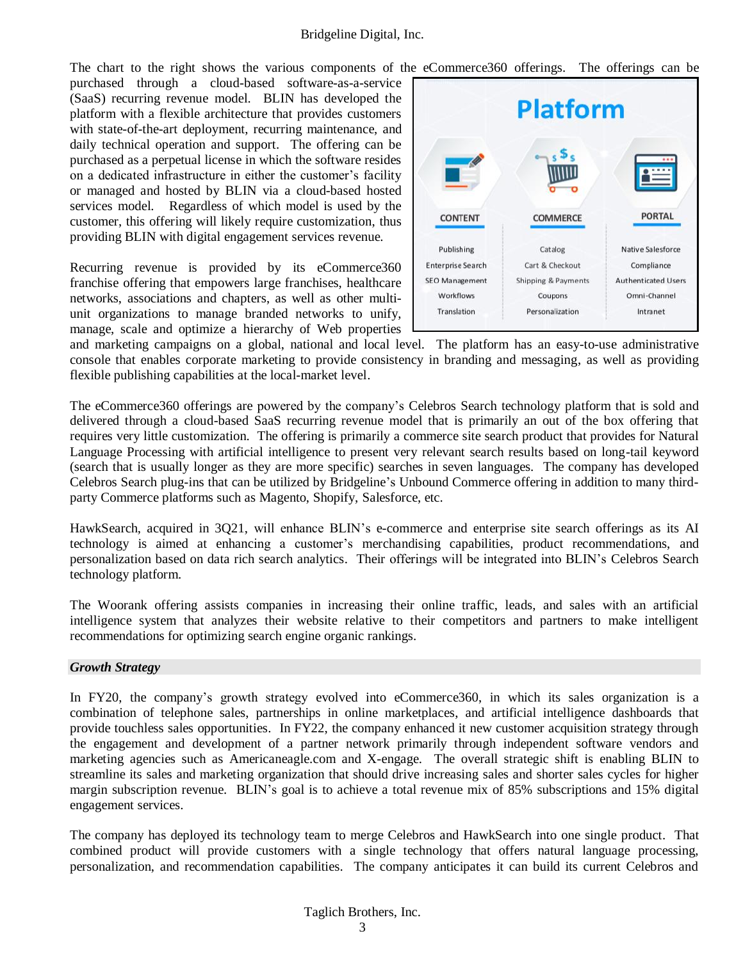The chart to the right shows the various components of the eCommerce360 offerings. The offerings can be

purchased through a cloud-based software-as-a-service (SaaS) recurring revenue model. BLIN has developed the platform with a flexible architecture that provides customers with state-of-the-art deployment, recurring maintenance, and daily technical operation and support. The offering can be purchased as a perpetual license in which the software resides on a dedicated infrastructure in either the customer's facility or managed and hosted by BLIN via a cloud-based hosted services model. Regardless of which model is used by the customer, this offering will likely require customization, thus providing BLIN with digital engagement services revenue.

Recurring revenue is provided by its eCommerce360 franchise offering that empowers large franchises, healthcare networks, associations and chapters, as well as other multiunit organizations to manage branded networks to unify, manage, scale and optimize a hierarchy of Web properties



and marketing campaigns on a global, national and local level. The platform has an easy-to-use administrative console that enables corporate marketing to provide consistency in branding and messaging, as well as providing flexible publishing capabilities at the local-market level.

The eCommerce360 offerings are powered by the company's Celebros Search technology platform that is sold and delivered through a cloud-based SaaS recurring revenue model that is primarily an out of the box offering that requires very little customization. The offering is primarily a commerce site search product that provides for Natural Language Processing with artificial intelligence to present very relevant search results based on long-tail keyword (search that is usually longer as they are more specific) searches in seven languages. The company has developed Celebros Search plug-ins that can be utilized by Bridgeline's Unbound Commerce offering in addition to many thirdparty Commerce platforms such as Magento, Shopify, Salesforce, etc.

HawkSearch, acquired in 3Q21, will enhance BLIN's e-commerce and enterprise site search offerings as its AI technology is aimed at enhancing a customer's merchandising capabilities, product recommendations, and personalization based on data rich search analytics. Their offerings will be integrated into BLIN's Celebros Search technology platform.

The Woorank offering assists companies in increasing their online traffic, leads, and sales with an artificial intelligence system that analyzes their website relative to their competitors and partners to make intelligent recommendations for optimizing search engine organic rankings.

#### *Growth Strategy*

In FY20, the company's growth strategy evolved into eCommerce360, in which its sales organization is a combination of telephone sales, partnerships in online marketplaces, and artificial intelligence dashboards that provide touchless sales opportunities. In FY22, the company enhanced it new customer acquisition strategy through the engagement and development of a partner network primarily through independent software vendors and marketing agencies such as Americaneagle.com and X-engage. The overall strategic shift is enabling BLIN to streamline its sales and marketing organization that should drive increasing sales and shorter sales cycles for higher margin subscription revenue. BLIN's goal is to achieve a total revenue mix of 85% subscriptions and 15% digital engagement services.

The company has deployed its technology team to merge Celebros and HawkSearch into one single product. That combined product will provide customers with a single technology that offers natural language processing, personalization, and recommendation capabilities. The company anticipates it can build its current Celebros and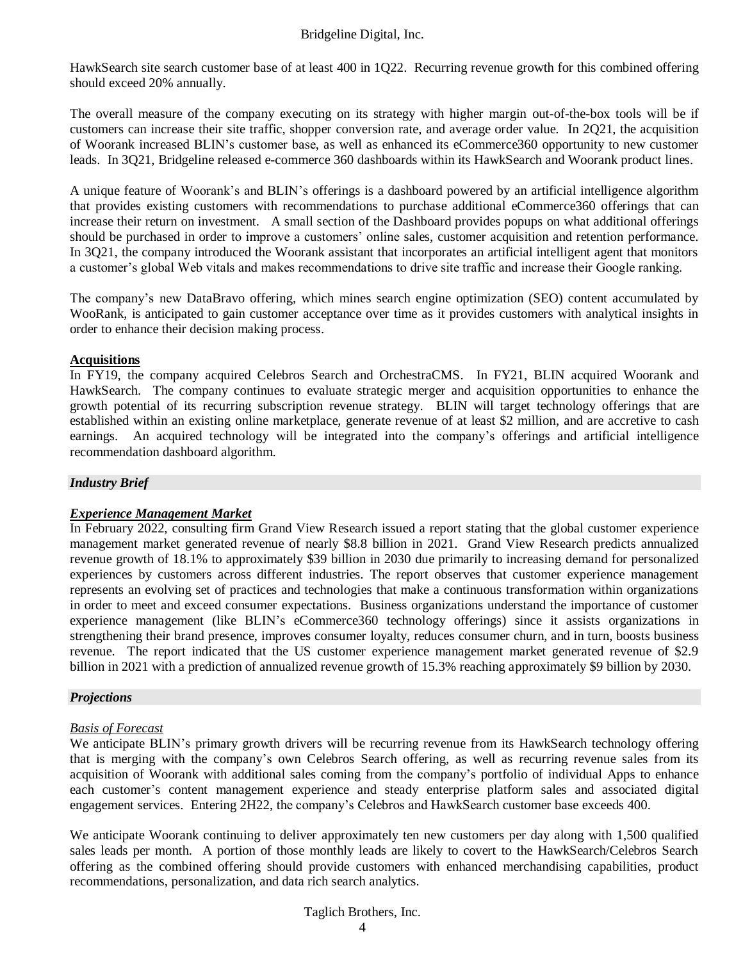HawkSearch site search customer base of at least 400 in 1Q22. Recurring revenue growth for this combined offering should exceed 20% annually.

The overall measure of the company executing on its strategy with higher margin out-of-the-box tools will be if customers can increase their site traffic, shopper conversion rate, and average order value. In 2Q21, the acquisition of Woorank increased BLIN's customer base, as well as enhanced its eCommerce360 opportunity to new customer leads. In 3Q21, Bridgeline released e-commerce 360 dashboards within its HawkSearch and Woorank product lines.

A unique feature of Woorank's and BLIN's offerings is a dashboard powered by an artificial intelligence algorithm that provides existing customers with recommendations to purchase additional eCommerce360 offerings that can increase their return on investment. A small section of the Dashboard provides popups on what additional offerings should be purchased in order to improve a customers' online sales, customer acquisition and retention performance. In 3Q21, the company introduced the Woorank assistant that incorporates an artificial intelligent agent that monitors a customer's global Web vitals and makes recommendations to drive site traffic and increase their Google ranking.

The company's new DataBravo offering, which mines search engine optimization (SEO) content accumulated by WooRank, is anticipated to gain customer acceptance over time as it provides customers with analytical insights in order to enhance their decision making process.

#### **Acquisitions**

In FY19, the company acquired Celebros Search and OrchestraCMS. In FY21, BLIN acquired Woorank and HawkSearch. The company continues to evaluate strategic merger and acquisition opportunities to enhance the growth potential of its recurring subscription revenue strategy. BLIN will target technology offerings that are established within an existing online marketplace, generate revenue of at least \$2 million, and are accretive to cash earnings. An acquired technology will be integrated into the company's offerings and artificial intelligence recommendation dashboard algorithm.

#### *Industry Brief*

### *Experience Management Market*

In February 2022, consulting firm Grand View Research issued a report stating that the global customer experience management market generated revenue of nearly \$8.8 billion in 2021. Grand View Research predicts annualized revenue growth of 18.1% to approximately \$39 billion in 2030 due primarily to increasing demand for personalized experiences by customers across different industries. The report observes that customer experience management represents an evolving set of practices and technologies that make a continuous transformation within organizations in order to meet and exceed consumer expectations. Business organizations understand the importance of customer experience management (like BLIN's eCommerce360 technology offerings) since it assists organizations in strengthening their brand presence, improves consumer loyalty, reduces consumer churn, and in turn, boosts business revenue. The report indicated that the US customer experience management market generated revenue of \$2.9 billion in 2021 with a prediction of annualized revenue growth of 15.3% reaching approximately \$9 billion by 2030.

#### *Projections*

#### *Basis of Forecast*

We anticipate BLIN's primary growth drivers will be recurring revenue from its HawkSearch technology offering that is merging with the company's own Celebros Search offering, as well as recurring revenue sales from its acquisition of Woorank with additional sales coming from the company's portfolio of individual Apps to enhance each customer's content management experience and steady enterprise platform sales and associated digital engagement services. Entering 2H22, the company's Celebros and HawkSearch customer base exceeds 400.

We anticipate Woorank continuing to deliver approximately ten new customers per day along with 1,500 qualified sales leads per month. A portion of those monthly leads are likely to covert to the HawkSearch/Celebros Search offering as the combined offering should provide customers with enhanced merchandising capabilities, product recommendations, personalization, and data rich search analytics.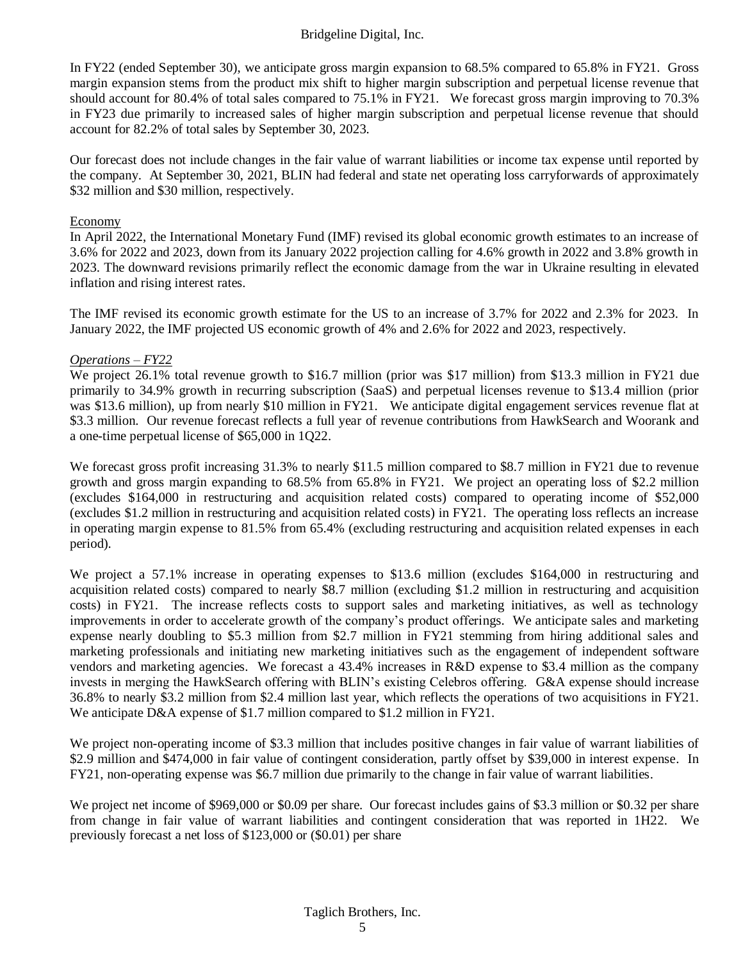In FY22 (ended September 30), we anticipate gross margin expansion to 68.5% compared to 65.8% in FY21. Gross margin expansion stems from the product mix shift to higher margin subscription and perpetual license revenue that should account for 80.4% of total sales compared to 75.1% in FY21. We forecast gross margin improving to 70.3% in FY23 due primarily to increased sales of higher margin subscription and perpetual license revenue that should account for 82.2% of total sales by September 30, 2023.

Our forecast does not include changes in the fair value of warrant liabilities or income tax expense until reported by the company. At September 30, 2021, BLIN had federal and state net operating loss carryforwards of approximately \$32 million and \$30 million, respectively.

#### Economy

In April 2022, the International Monetary Fund (IMF) revised its global economic growth estimates to an increase of 3.6% for 2022 and 2023, down from its January 2022 projection calling for 4.6% growth in 2022 and 3.8% growth in 2023. The downward revisions primarily reflect the economic damage from the war in Ukraine resulting in elevated inflation and rising interest rates.

The IMF revised its economic growth estimate for the US to an increase of 3.7% for 2022 and 2.3% for 2023. In January 2022, the IMF projected US economic growth of 4% and 2.6% for 2022 and 2023, respectively.

#### *Operations – FY22*

We project 26.1% total revenue growth to \$16.7 million (prior was \$17 million) from \$13.3 million in FY21 due primarily to 34.9% growth in recurring subscription (SaaS) and perpetual licenses revenue to \$13.4 million (prior was \$13.6 million), up from nearly \$10 million in FY21. We anticipate digital engagement services revenue flat at \$3.3 million. Our revenue forecast reflects a full year of revenue contributions from HawkSearch and Woorank and a one-time perpetual license of \$65,000 in 1Q22.

We forecast gross profit increasing 31.3% to nearly \$11.5 million compared to \$8.7 million in FY21 due to revenue growth and gross margin expanding to 68.5% from 65.8% in FY21. We project an operating loss of \$2.2 million (excludes \$164,000 in restructuring and acquisition related costs) compared to operating income of \$52,000 (excludes \$1.2 million in restructuring and acquisition related costs) in FY21. The operating loss reflects an increase in operating margin expense to 81.5% from 65.4% (excluding restructuring and acquisition related expenses in each period).

We project a 57.1% increase in operating expenses to \$13.6 million (excludes \$164,000 in restructuring and acquisition related costs) compared to nearly \$8.7 million (excluding \$1.2 million in restructuring and acquisition costs) in FY21. The increase reflects costs to support sales and marketing initiatives, as well as technology improvements in order to accelerate growth of the company's product offerings. We anticipate sales and marketing expense nearly doubling to \$5.3 million from \$2.7 million in FY21 stemming from hiring additional sales and marketing professionals and initiating new marketing initiatives such as the engagement of independent software vendors and marketing agencies. We forecast a 43.4% increases in R&D expense to \$3.4 million as the company invests in merging the HawkSearch offering with BLIN's existing Celebros offering. G&A expense should increase 36.8% to nearly \$3.2 million from \$2.4 million last year, which reflects the operations of two acquisitions in FY21. We anticipate D&A expense of \$1.7 million compared to \$1.2 million in FY21.

We project non-operating income of \$3.3 million that includes positive changes in fair value of warrant liabilities of \$2.9 million and \$474,000 in fair value of contingent consideration, partly offset by \$39,000 in interest expense. In FY21, non-operating expense was \$6.7 million due primarily to the change in fair value of warrant liabilities.

We project net income of \$969,000 or \$0.09 per share. Our forecast includes gains of \$3.3 million or \$0.32 per share from change in fair value of warrant liabilities and contingent consideration that was reported in 1H22. We previously forecast a net loss of \$123,000 or (\$0.01) per share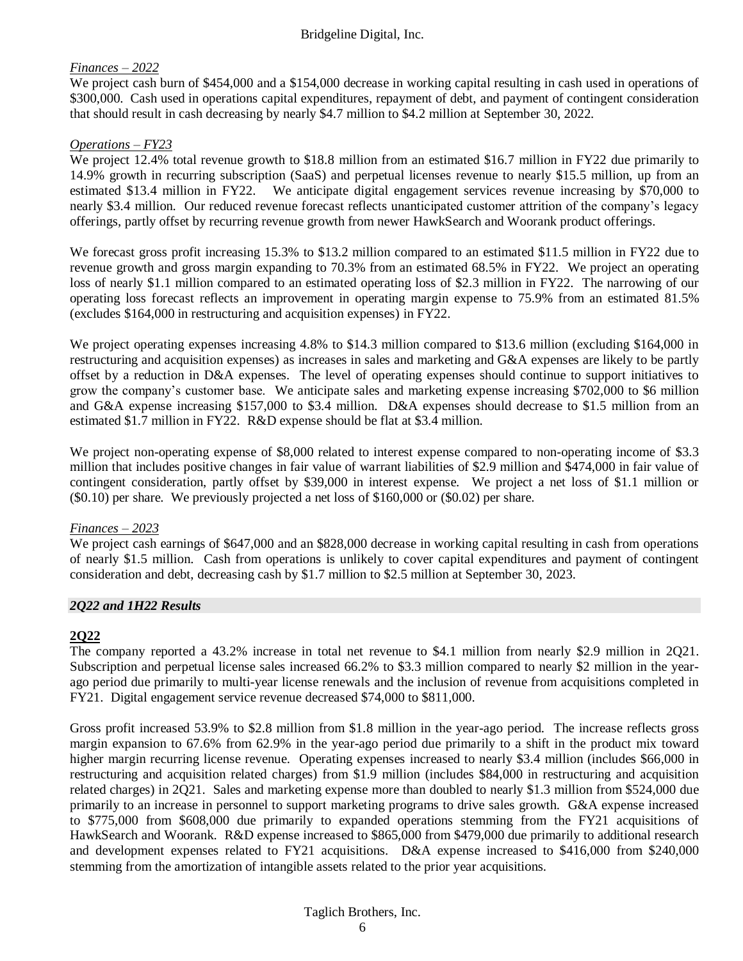### *Finances – 2022*

We project cash burn of \$454,000 and a \$154,000 decrease in working capital resulting in cash used in operations of \$300,000. Cash used in operations capital expenditures, repayment of debt, and payment of contingent consideration that should result in cash decreasing by nearly \$4.7 million to \$4.2 million at September 30, 2022.

#### *Operations – FY23*

We project 12.4% total revenue growth to \$18.8 million from an estimated \$16.7 million in FY22 due primarily to 14.9% growth in recurring subscription (SaaS) and perpetual licenses revenue to nearly \$15.5 million, up from an estimated \$13.4 million in FY22. We anticipate digital engagement services revenue increasing by \$70,000 to nearly \$3.4 million. Our reduced revenue forecast reflects unanticipated customer attrition of the company's legacy offerings, partly offset by recurring revenue growth from newer HawkSearch and Woorank product offerings.

We forecast gross profit increasing 15.3% to \$13.2 million compared to an estimated \$11.5 million in FY22 due to revenue growth and gross margin expanding to 70.3% from an estimated 68.5% in FY22. We project an operating loss of nearly \$1.1 million compared to an estimated operating loss of \$2.3 million in FY22. The narrowing of our operating loss forecast reflects an improvement in operating margin expense to 75.9% from an estimated 81.5% (excludes \$164,000 in restructuring and acquisition expenses) in FY22.

We project operating expenses increasing 4.8% to \$14.3 million compared to \$13.6 million (excluding \$164,000 in restructuring and acquisition expenses) as increases in sales and marketing and G&A expenses are likely to be partly offset by a reduction in D&A expenses. The level of operating expenses should continue to support initiatives to grow the company's customer base. We anticipate sales and marketing expense increasing \$702,000 to \$6 million and G&A expense increasing \$157,000 to \$3.4 million. D&A expenses should decrease to \$1.5 million from an estimated \$1.7 million in FY22. R&D expense should be flat at \$3.4 million.

We project non-operating expense of \$8,000 related to interest expense compared to non-operating income of \$3.3 million that includes positive changes in fair value of warrant liabilities of \$2.9 million and \$474,000 in fair value of contingent consideration, partly offset by \$39,000 in interest expense. We project a net loss of \$1.1 million or (\$0.10) per share. We previously projected a net loss of \$160,000 or (\$0.02) per share.

#### *Finances – 2023*

We project cash earnings of \$647,000 and an \$828,000 decrease in working capital resulting in cash from operations of nearly \$1.5 million. Cash from operations is unlikely to cover capital expenditures and payment of contingent consideration and debt, decreasing cash by \$1.7 million to \$2.5 million at September 30, 2023.

#### *2Q22 and 1H22 Results*

#### **2Q22**

The company reported a 43.2% increase in total net revenue to \$4.1 million from nearly \$2.9 million in 2Q21. Subscription and perpetual license sales increased 66.2% to \$3.3 million compared to nearly \$2 million in the yearago period due primarily to multi-year license renewals and the inclusion of revenue from acquisitions completed in FY21. Digital engagement service revenue decreased \$74,000 to \$811,000.

Gross profit increased 53.9% to \$2.8 million from \$1.8 million in the year-ago period. The increase reflects gross margin expansion to 67.6% from 62.9% in the year-ago period due primarily to a shift in the product mix toward higher margin recurring license revenue. Operating expenses increased to nearly \$3.4 million (includes \$66,000 in restructuring and acquisition related charges) from \$1.9 million (includes \$84,000 in restructuring and acquisition related charges) in 2Q21. Sales and marketing expense more than doubled to nearly \$1.3 million from \$524,000 due primarily to an increase in personnel to support marketing programs to drive sales growth. G&A expense increased to \$775,000 from \$608,000 due primarily to expanded operations stemming from the FY21 acquisitions of HawkSearch and Woorank. R&D expense increased to \$865,000 from \$479,000 due primarily to additional research and development expenses related to FY21 acquisitions. D&A expense increased to \$416,000 from \$240,000 stemming from the amortization of intangible assets related to the prior year acquisitions.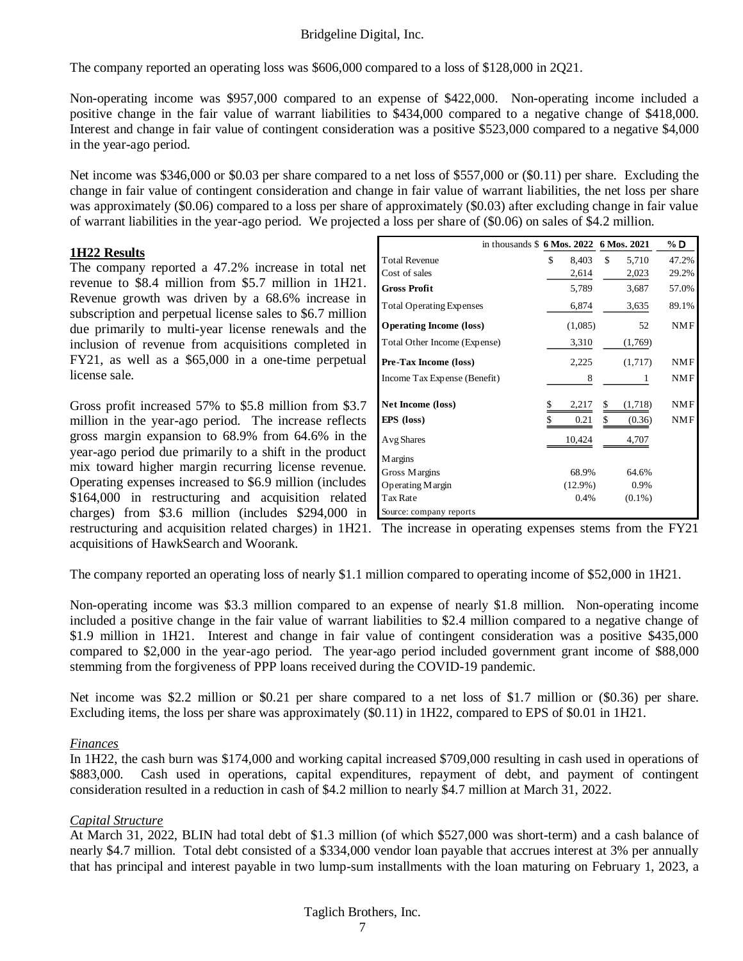The company reported an operating loss was \$606,000 compared to a loss of \$128,000 in 2Q21.

Non-operating income was \$957,000 compared to an expense of \$422,000. Non-operating income included a positive change in the fair value of warrant liabilities to \$434,000 compared to a negative change of \$418,000. Interest and change in fair value of contingent consideration was a positive \$523,000 compared to a negative \$4,000 in the year-ago period.

Net income was \$346,000 or \$0.03 per share compared to a net loss of \$557,000 or (\$0.11) per share. Excluding the change in fair value of contingent consideration and change in fair value of warrant liabilities, the net loss per share was approximately (\$0.06) compared to a loss per share of approximately (\$0.03) after excluding change in fair value of warrant liabilities in the year-ago period. We projected a loss per share of (\$0.06) on sales of \$4.2 million.

#### **1H22 Results**

The company reported a 47.2% increase in total net revenue to \$8.4 million from \$5.7 million in 1H21. Revenue growth was driven by a 68.6% increase in subscription and perpetual license sales to \$6.7 million due primarily to multi-year license renewals and the inclusion of revenue from acquisitions completed in FY21, as well as a \$65,000 in a one-time perpetual license sale.

Gross profit increased 57% to \$5.8 million from \$3.7 million in the year-ago period. The increase reflects gross margin expansion to 68.9% from 64.6% in the year-ago period due primarily to a shift in the product mix toward higher margin recurring license revenue. Operating expenses increased to \$6.9 million (includes \$164,000 in restructuring and acquisition related charges) from \$3.6 million (includes \$294,000 in acquisitions of HawkSearch and Woorank.

| in thousands \$6 Mos. 2022 6 Mos. 2021 |             |               | % D        |
|----------------------------------------|-------------|---------------|------------|
| <b>Total Revenue</b>                   | \$<br>8,403 | \$<br>5,710   | 47.2%      |
| Cost of sales                          | 2,614       | 2,023         | 29.2%      |
| <b>Gross Profit</b>                    | 5,789       | 3,687         | 57.0%      |
| <b>Total Operating Expenses</b>        | 6,874       | 3,635         | 89.1%      |
| <b>Operating Income (loss)</b>         | (1,085)     | 52            | <b>NMF</b> |
| Total Other Income (Expense)           | 3,310       | (1,769)       |            |
| Pre-Tax Income (loss)                  | 2,225       | (1,717)       | <b>NMF</b> |
| Income Tax Expense (Benefit)           | 8           | 1             | <b>NMF</b> |
| Net Income (loss)                      | 2,217       | \$<br>(1,718) | <b>NMF</b> |
| <b>EPS</b> (loss)                      | 0.21        | \$<br>(0.36)  | <b>NMF</b> |
| Avg Shares                             | 10,424      | 4,707         |            |
| <b>Margins</b>                         |             |               |            |
| Gross Margins                          | 68.9%       | 64.6%         |            |
| Operating Margin                       | $(12.9\%)$  | 0.9%          |            |
| Tax Rate                               | 0.4%        | $(0.1\%)$     |            |
| Source: company reports                |             |               |            |

restructuring and acquisition related charges) in 1H21. The increase in operating expenses stems from the FY21

The company reported an operating loss of nearly \$1.1 million compared to operating income of \$52,000 in 1H21.

Non-operating income was \$3.3 million compared to an expense of nearly \$1.8 million. Non-operating income included a positive change in the fair value of warrant liabilities to \$2.4 million compared to a negative change of \$1.9 million in 1H21. Interest and change in fair value of contingent consideration was a positive \$435,000 compared to \$2,000 in the year-ago period. The year-ago period included government grant income of \$88,000 stemming from the forgiveness of PPP loans received during the COVID-19 pandemic.

Net income was \$2.2 million or \$0.21 per share compared to a net loss of \$1.7 million or (\$0.36) per share. Excluding items, the loss per share was approximately (\$0.11) in 1H22, compared to EPS of \$0.01 in 1H21.

#### *Finances*

In 1H22, the cash burn was \$174,000 and working capital increased \$709,000 resulting in cash used in operations of \$883,000. Cash used in operations, capital expenditures, repayment of debt, and payment of contingent consideration resulted in a reduction in cash of \$4.2 million to nearly \$4.7 million at March 31, 2022.

### *Capital Structure*

At March 31, 2022, BLIN had total debt of \$1.3 million (of which \$527,000 was short-term) and a cash balance of nearly \$4.7 million. Total debt consisted of a \$334,000 vendor loan payable that accrues interest at 3% per annually that has principal and interest payable in two lump-sum installments with the loan maturing on February 1, 2023, a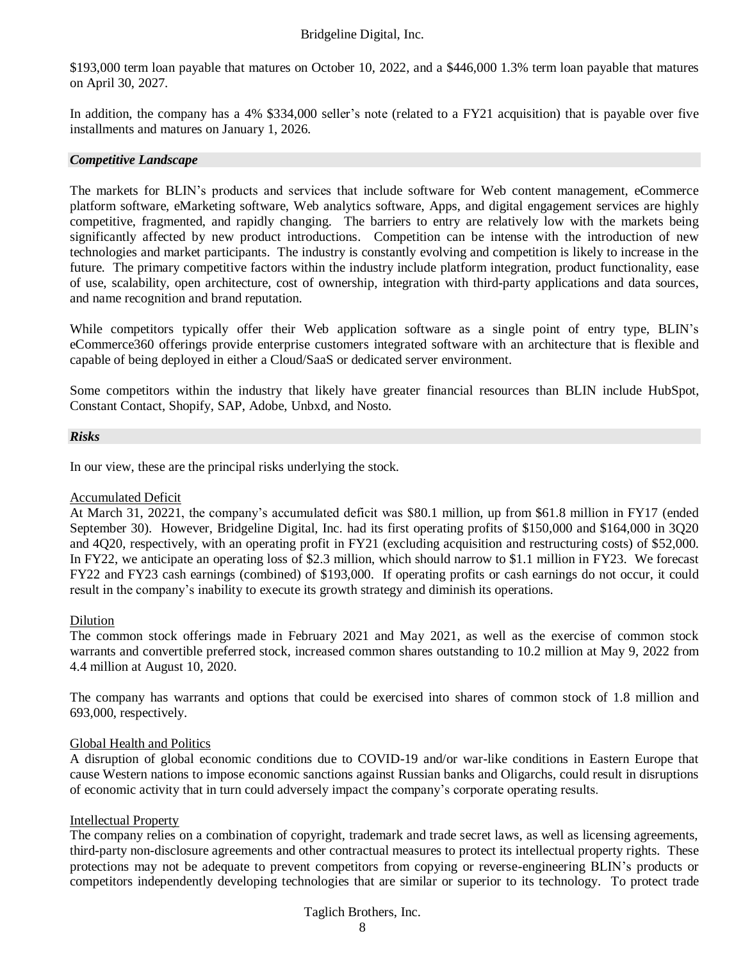\$193,000 term loan payable that matures on October 10, 2022, and a \$446,000 1.3% term loan payable that matures on April 30, 2027.

In addition, the company has a 4% \$334,000 seller's note (related to a FY21 acquisition) that is payable over five installments and matures on January 1, 2026.

#### *Competitive Landscape*

The markets for BLIN's products and services that include software for Web content management, eCommerce platform software, eMarketing software, Web analytics software, Apps, and digital engagement services are highly competitive, fragmented, and rapidly changing. The barriers to entry are relatively low with the markets being significantly affected by new product introductions. Competition can be intense with the introduction of new technologies and market participants. The industry is constantly evolving and competition is likely to increase in the future. The primary competitive factors within the industry include platform integration, product functionality, ease of use, scalability, open architecture, cost of ownership, integration with third-party applications and data sources, and name recognition and brand reputation.

While competitors typically offer their Web application software as a single point of entry type, BLIN's eCommerce360 offerings provide enterprise customers integrated software with an architecture that is flexible and capable of being deployed in either a Cloud/SaaS or dedicated server environment.

Some competitors within the industry that likely have greater financial resources than BLIN include HubSpot, Constant Contact, Shopify, SAP, Adobe, Unbxd, and Nosto.

#### *Risks*

In our view, these are the principal risks underlying the stock.

#### Accumulated Deficit

At March 31, 20221, the company's accumulated deficit was \$80.1 million, up from \$61.8 million in FY17 (ended September 30). However, Bridgeline Digital, Inc. had its first operating profits of \$150,000 and \$164,000 in 3Q20 and 4Q20, respectively, with an operating profit in FY21 (excluding acquisition and restructuring costs) of \$52,000. In FY22, we anticipate an operating loss of \$2.3 million, which should narrow to \$1.1 million in FY23. We forecast FY22 and FY23 cash earnings (combined) of \$193,000. If operating profits or cash earnings do not occur, it could result in the company's inability to execute its growth strategy and diminish its operations.

#### Dilution

The common stock offerings made in February 2021 and May 2021, as well as the exercise of common stock warrants and convertible preferred stock, increased common shares outstanding to 10.2 million at May 9, 2022 from 4.4 million at August 10, 2020.

The company has warrants and options that could be exercised into shares of common stock of 1.8 million and 693,000, respectively.

#### Global Health and Politics

A disruption of global economic conditions due to COVID-19 and/or war-like conditions in Eastern Europe that cause Western nations to impose economic sanctions against Russian banks and Oligarchs, could result in disruptions of economic activity that in turn could adversely impact the company's corporate operating results.

#### Intellectual Property

The company relies on a combination of copyright, trademark and trade secret laws, as well as licensing agreements, third-party non-disclosure agreements and other contractual measures to protect its intellectual property rights. These protections may not be adequate to prevent competitors from copying or reverse-engineering BLIN's products or competitors independently developing technologies that are similar or superior to its technology. To protect trade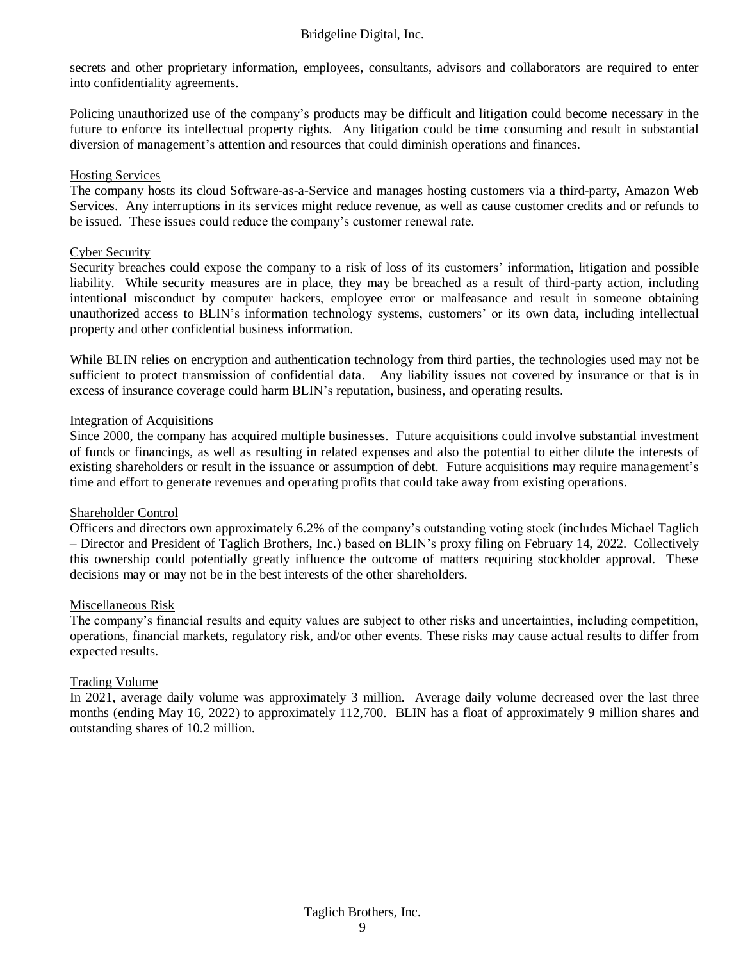secrets and other proprietary information, employees, consultants, advisors and collaborators are required to enter into confidentiality agreements.

Policing unauthorized use of the company's products may be difficult and litigation could become necessary in the future to enforce its intellectual property rights. Any litigation could be time consuming and result in substantial diversion of management's attention and resources that could diminish operations and finances.

#### Hosting Services

The company hosts its cloud Software-as-a-Service and manages hosting customers via a third-party, Amazon Web Services. Any interruptions in its services might reduce revenue, as well as cause customer credits and or refunds to be issued. These issues could reduce the company's customer renewal rate.

#### Cyber Security

Security breaches could expose the company to a risk of loss of its customers' information, litigation and possible liability. While security measures are in place, they may be breached as a result of third-party action, including intentional misconduct by computer hackers, employee error or malfeasance and result in someone obtaining unauthorized access to BLIN's information technology systems, customers' or its own data, including intellectual property and other confidential business information.

While BLIN relies on encryption and authentication technology from third parties, the technologies used may not be sufficient to protect transmission of confidential data. Any liability issues not covered by insurance or that is in excess of insurance coverage could harm BLIN's reputation, business, and operating results.

#### Integration of Acquisitions

Since 2000, the company has acquired multiple businesses. Future acquisitions could involve substantial investment of funds or financings, as well as resulting in related expenses and also the potential to either dilute the interests of existing shareholders or result in the issuance or assumption of debt. Future acquisitions may require management's time and effort to generate revenues and operating profits that could take away from existing operations.

#### Shareholder Control

Officers and directors own approximately 6.2% of the company's outstanding voting stock (includes Michael Taglich – Director and President of Taglich Brothers, Inc.) based on BLIN's proxy filing on February 14, 2022. Collectively this ownership could potentially greatly influence the outcome of matters requiring stockholder approval. These decisions may or may not be in the best interests of the other shareholders.

#### Miscellaneous Risk

The company's financial results and equity values are subject to other risks and uncertainties, including competition, operations, financial markets, regulatory risk, and/or other events. These risks may cause actual results to differ from expected results.

#### Trading Volume

In 2021, average daily volume was approximately 3 million. Average daily volume decreased over the last three months (ending May 16, 2022) to approximately 112,700. BLIN has a float of approximately 9 million shares and outstanding shares of 10.2 million.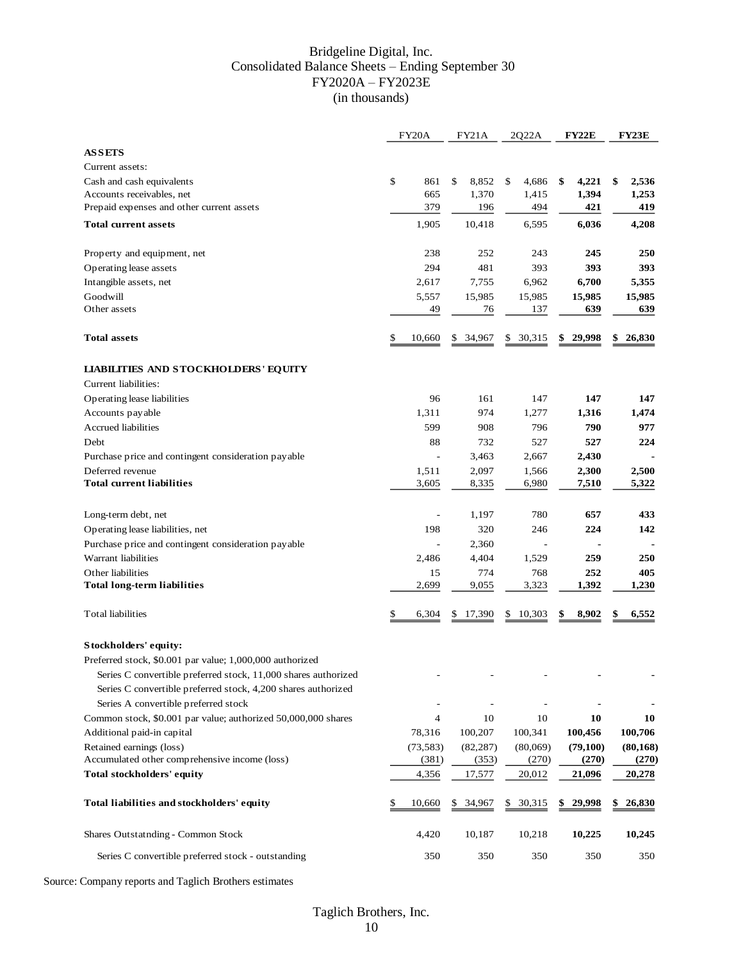#### Bridgeline Digital, Inc. Consolidated Balance Sheets – Ending September 30 FY2020A – FY2023E (in thousands)

|                                                                | FY20A          | FY21A         | 2Q22A        | FY22E       | FY23E        |
|----------------------------------------------------------------|----------------|---------------|--------------|-------------|--------------|
| <b>ASSETS</b>                                                  |                |               |              |             |              |
| Current assets:                                                |                |               |              |             |              |
| Cash and cash equivalents                                      | \$<br>861      | 8,852<br>\$   | 4,686<br>\$  | 4,221<br>\$ | 2,536<br>\$  |
| Accounts receivables, net                                      | 665            | 1,370         | 1,415        | 1,394       | 1,253        |
| Prepaid expenses and other current assets                      | 379            | 196           | 494          | 421         | 419          |
| <b>Total current assets</b>                                    | 1,905          | 10,418        | 6,595        | 6,036       | 4,208        |
| Property and equipment, net                                    | 238            | 252           | 243          | 245         | 250          |
| Operating lease assets                                         | 294            | 481           | 393          | 393         | 393          |
| Intangible assets, net                                         | 2,617          | 7,755         | 6,962        | 6,700       | 5,355        |
| Goodwill                                                       | 5,557          | 15,985        | 15,985       | 15,985      | 15,985       |
| Other assets                                                   | 49             | 76            | 137          | 639         | 639          |
| <b>Total assets</b>                                            | \$<br>10,660   | 34,967        | 30,315<br>\$ | 29,998      | 26,830       |
| <b>LIABILITIES AND STOCKHOLDERS' EQUITY</b>                    |                |               |              |             |              |
| Current liabilities:                                           |                |               |              |             |              |
| Operating lease liabilities                                    | 96             | 161           | 147          | 147         | 147          |
| Accounts payable                                               | 1,311          | 974           | 1,277        | 1,316       | 1,474        |
| Accrued liabilities                                            | 599            | 908           | 796          | 790         | 977          |
| Debt                                                           | 88             | 732           | 527          | 527         | 224          |
| Purchase price and contingent consideration payable            | $\overline{a}$ | 3,463         | 2,667        | 2,430       |              |
| Deferred revenue                                               | 1,511          | 2,097         | 1,566        | 2,300       | 2,500        |
| <b>Total current liabilities</b>                               | 3,605          | 8,335         | 6,980        | 7,510       | 5,322        |
| Long-term debt, net                                            |                | 1,197         | 780          | 657         | 433          |
| Operating lease liabilities, net                               | 198            | 320           | 246          | 224         | 142          |
| Purchase price and contingent consideration payable            |                | 2,360         |              |             |              |
| Warrant liabilities                                            | 2,486          | 4,404         | 1,529        | 259         | 250          |
| Other liabilities                                              | 15             | 774           | 768          | 252         | 405          |
| <b>Total long-term liabilities</b>                             | 2,699          | 9,055         | 3,323        | 1,392       | 1,230        |
| <b>Total liabilities</b>                                       | \$<br>6,304    | 17,390        | 10,303<br>\$ | 8,902       | 6,552<br>\$  |
| Stockholders' equity:                                          |                |               |              |             |              |
| Preferred stock, \$0.001 par value; 1,000,000 authorized       |                |               |              |             |              |
| Series C convertible preferred stock, 11,000 shares authorized |                |               |              |             |              |
| Series C convertible preferred stock, 4,200 shares authorized  |                |               |              |             |              |
| Series A convertible preferred stock                           |                |               |              |             |              |
| Common stock, \$0.001 par value; authorized 50,000,000 shares  | 4              | 10            | 10           | 10          | 10           |
| Additional paid-in capital                                     | 78,316         | 100,207       | 100,341      | 100,456     | 100,706      |
| Retained earnings (loss)                                       | (73, 583)      | (82, 287)     | (80,069)     | (79, 100)   | (80, 168)    |
| Accumulated other comprehensive income (loss)                  | (381)          | (353)         | (270)        | (270)       | (270)        |
| Total stockholders' equity                                     | 4,356          | 17,577        | 20,012       | 21,096      | 20,278       |
| Total liabilities and stockholders' equity                     | \$<br>10,660   | 34,967<br>\$. | 30,315<br>\$ | 29,998      | 26,830<br>\$ |
| Shares Outstatnding - Common Stock                             | 4,420          | 10,187        | 10,218       | 10,225      | 10,245       |
| Series C convertible preferred stock - outstanding             | 350            | 350           | 350          | 350         | 350          |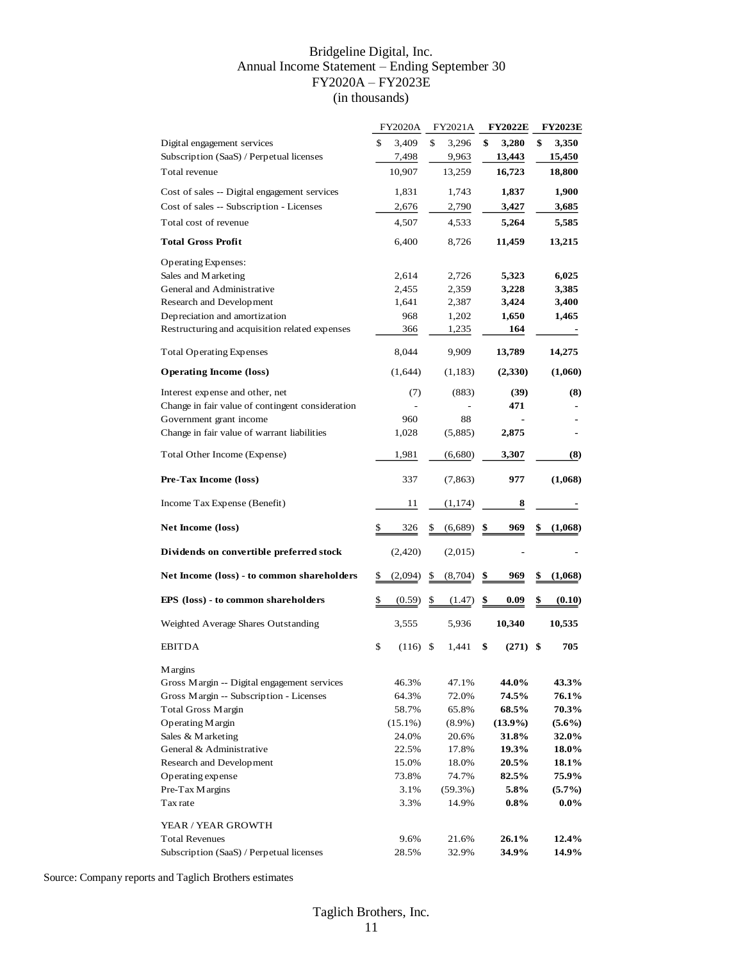#### Bridgeline Digital, Inc. Annual Income Statement – Ending September 30 FY2020A – FY2023E (in thousands)

|                                                  | <b>FY2020A</b>   | FY2021A       | <b>FY2022E</b> | <b>FY2023E</b> |
|--------------------------------------------------|------------------|---------------|----------------|----------------|
| Digital engagement services                      | \$<br>3,409      | \$<br>3,296   | \$<br>3,280    | \$<br>3,350    |
| Subscription (SaaS) / Perpetual licenses         | 7,498            | 9,963         | 13,443         | 15,450         |
| Total revenue                                    | 10,907           | 13,259        | 16,723         | 18,800         |
| Cost of sales -- Digital engagement services     | 1,831            | 1,743         | 1,837          | 1,900          |
| Cost of sales -- Subscription - Licenses         | 2,676            | 2,790         | 3,427          | 3,685          |
| Total cost of revenue                            | 4,507            | 4,533         | 5,264          | 5,585          |
| <b>Total Gross Profit</b>                        | 6,400            | 8,726         | 11,459         | 13,215         |
| Operating Expenses:                              |                  |               |                |                |
| Sales and Marketing                              | 2,614            | 2,726         | 5,323          | 6,025          |
| General and Administrative                       | 2,455            | 2,359         | 3,228          | 3,385          |
| Research and Development                         | 1,641            | 2,387         | 3,424          | 3,400          |
| Depreciation and amortization                    | 968              | 1,202         | 1,650          | 1,465          |
| Restructuring and acquisition related expenses   | 366              | 1,235         | 164            |                |
| <b>Total Operating Expenses</b>                  | 8,044            | 9,909         | 13,789         | 14,275         |
| <b>Operating Income (loss)</b>                   | (1,644)          | (1,183)       | (2,330)        | (1,060)        |
| Interest expense and other, net                  | (7)              | (883)         | (39)           | (8)            |
| Change in fair value of contingent consideration |                  |               | 471            |                |
| Government grant income                          | 960              | 88            |                |                |
| Change in fair value of warrant liabilities      | 1,028            | (5,885)       | 2,875          |                |
| Total Other Income (Expense)                     | 1,981            | (6,680)       | 3,307          | (8)            |
| Pre-Tax Income (loss)                            | 337              | (7, 863)      | 977            | (1,068)        |
| Income Tax Expense (Benefit)                     | 11               | (1, 174)      | 8              |                |
| Net Income (loss)                                | \$<br>326        | \$<br>(6,689) | \$<br>969      | \$<br>(1,068)  |
| Dividends on convertible preferred stock         | (2,420)          | (2,015)       |                |                |
| Net Income (loss) - to common shareholders       | \$<br>(2,094)    | \$<br>(8,704) | \$<br>969      | \$<br>(1,068)  |
|                                                  |                  |               |                |                |
| EPS (loss) - to common shareholders              | \$<br>(0.59)     | \$<br>(1.47)  | \$<br>0.09     | \$<br>(0.10)   |
| Weighted Average Shares Outstanding              | 3,555            | 5,936         | 10,340         | 10,535         |
| <b>EBITDA</b>                                    | \$<br>$(116)$ \$ | 1,441         | \$<br>(271)    | \$<br>705      |
| <b>Margins</b>                                   |                  |               |                |                |
| Gross Margin -- Digital engagement services      | 46.3%            | 47.1%         | 44.0%          | 43.3%          |
| Gross Margin -- Subscription - Licenses          | 64.3%            | 72.0%         | 74.5%          | 76.1%          |
| Total Gross Margin                               | 58.7%            | 65.8%         | 68.5%          | 70.3%          |
| Operating Margin                                 | $(15.1\%)$       | $(8.9\%)$     | $(13.9\%)$     | $(5.6\%)$      |
| Sales & Marketing                                | 24.0%            | 20.6%         | 31.8%          | <b>32.0%</b>   |
| General & Administrative                         | 22.5%            | 17.8%         | 19.3%          | 18.0%          |
| Research and Development                         | 15.0%            | 18.0%         | 20.5%          | 18.1%          |
| Operating expense                                | 73.8%            | 74.7%         | 82.5%          | 75.9%          |
| Pre-Tax Margins                                  | 3.1%             | (59.3%)       | 5.8%           | $(5.7\%)$      |
| Tax rate                                         | 3.3%             | 14.9%         | $0.8\%$        | $0.0\%$        |
|                                                  |                  |               |                |                |
| YEAR / YEAR GROWTH                               |                  |               |                |                |
| <b>Total Revenues</b>                            | 9.6%             | 21.6%         | 26.1%          | 12.4%          |
| Subscription (SaaS) / Perpetual licenses         | 28.5%            | 32.9%         | 34.9%          | 14.9%          |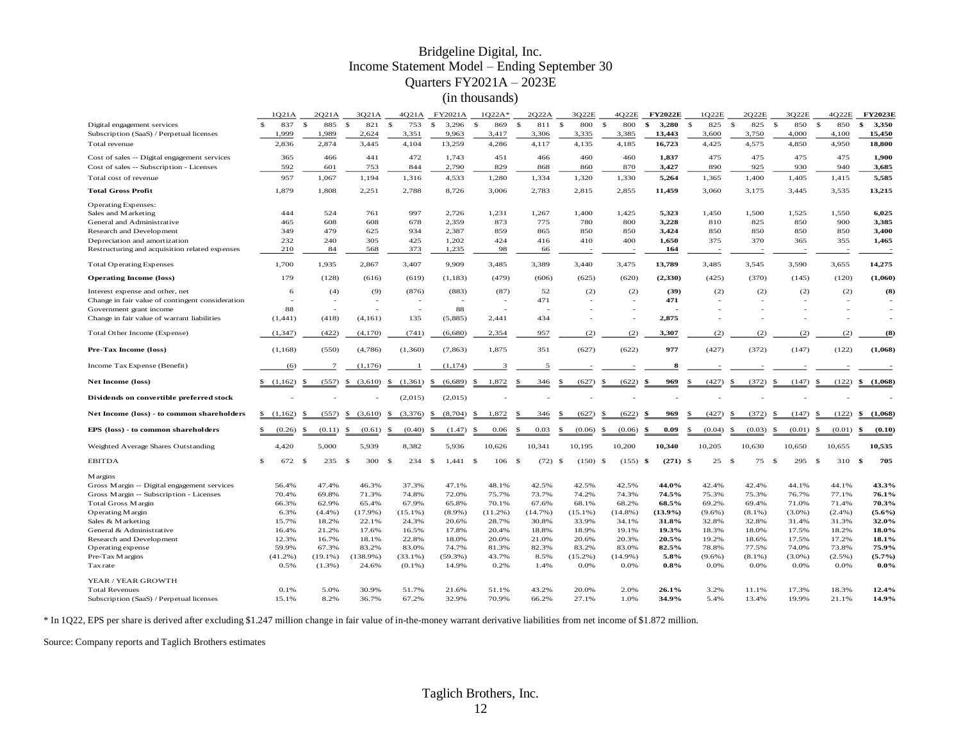#### Bridgeline Digital, Inc. Income Statement Model – Ending September 30 Quarters FY2021A – 2023E (in thousands)

|                                                  | 1021A      | 2021A               | 3021A               | 4021A                    | FY2021A                 | $1Q22A*$                 | 2O22A               | 3Q22E               | 4O22E               | <b>FY2022E</b>    | 1Q22E               | 2022E               | 3O22E                  | 4Q22E               | <b>FY2023E</b> |
|--------------------------------------------------|------------|---------------------|---------------------|--------------------------|-------------------------|--------------------------|---------------------|---------------------|---------------------|-------------------|---------------------|---------------------|------------------------|---------------------|----------------|
| Digital engagement services                      | 837<br>\$. | $\mathbf{s}$<br>885 | $\mathbf{s}$<br>821 | 753<br>\$                | $\mathbf{s}$<br>3,296   | 869<br>$\mathbf{s}$      | $\mathbf{s}$<br>811 | $\mathbf{s}$<br>800 | 800<br>$\mathbf{s}$ | \$<br>3,280       | 825<br>$\mathbf{s}$ | $\mathbf{s}$<br>825 | $\mathbf{s}$<br>850    | 850<br>$\mathbf{s}$ | 3,350<br>\$    |
| Subscription (SaaS) / Perpetual licenses         | 1,999      | 1,989               | 2,624               | 3,351                    | 9,963                   | 3,417                    | 3,306               | 3,335               | 3,385               | 13,443            | 3,600               | 3,750               | 4,000                  | 4,100               | 15,450         |
| Total revenue                                    | 2,836      | 2,874               | 3,445               | 4.104                    | 13,259                  | 4,286                    | 4,117               | 4,135               | 4,185               | 16,723            | 4,425               | 4,575               | 4,850                  | 4,950               | 18,800         |
| Cost of sales -- Digital engagement services     | 365        | 466                 | 441                 | 472                      | 1,743                   | 451                      | 466                 | 460                 | 460                 | 1,837             | 475                 | 475                 | 475                    | 475                 | 1,900          |
| Cost of sales -- Subscription - Licenses         | 592        | 601                 | 753                 | 844                      | 2,790                   | 829                      | 868                 | 860                 | 870                 | 3,427             | 890                 | 925                 | 930                    | 940                 | 3,685          |
| Total cost of revenue                            | 957        | 1,067               | 1,194               | 1,316                    | 4,533                   | 1,280                    | 1,334               | 1,320               | 1,330               | 5,264             | 1,365               | 1,400               | 1,405                  | 1,415               | 5,585          |
| <b>Total Gross Profit</b>                        | 1,879      | 1,808               | 2,251               | 2,788                    | 8,726                   | 3,006                    | 2,783               | 2,815               | 2,855               | 11,459            | 3,060               | 3,175               | 3,445                  | 3,535               | 13,215         |
| <b>Operating Expenses:</b>                       |            |                     |                     |                          |                         |                          |                     |                     |                     |                   |                     |                     |                        |                     |                |
| Sales and Marketing                              | 444        | 524                 | 761                 | 997                      | 2,726                   | 1,231                    | 1,267               | 1,400               | 1,425               | 5,323             | 1,450               | 1,500               | 1,525                  | 1,550               | 6,025          |
| General and Administrative                       | 465        | 608                 | 608                 | 678                      | 2,359                   | 873                      | 775                 | 780                 | 800                 | 3,228             | 810                 | 825                 | 850                    | 900                 | 3,385          |
| Research and Development                         | 349        | 479                 | 625                 | 934                      | 2,387                   | 859                      | 865                 | 850                 | 850                 | 3,424             | 850                 | 850                 | 850                    | 850                 | 3,400          |
| Depreciation and amortization                    | 232        | 240                 | 305                 | 425                      | 1,202                   | 424                      | 416                 | 410                 | 400                 | 1,650             | 375                 | 370                 | 365                    | 355                 | 1,465          |
| Restructuring and acquisition related expenses   | 210        | 84                  | 568                 | 373                      | 1,235                   | 98                       | 66                  |                     |                     | 164               |                     |                     |                        |                     |                |
| <b>Total Operating Expenses</b>                  | 1,700      | 1,935               | 2,867               | 3,407                    | 9,909                   | 3,485                    | 3,389               | 3,440               | 3,475               | 13,789            | 3,485               | 3,545               | 3,590                  | 3,655               | 14,275         |
| <b>Operating Income (loss)</b>                   | 179        | (128)               | (616)               | (619)                    | (1,183)                 | (479)                    | (606)               | (625)               | (620)               | (2,330)           | (425)               | (370)               | (145)                  | (120)               | (1,060)        |
| Interest expense and other, net                  | 6          | (4)                 | (9)                 | (876)                    | (883)                   | (87)                     | 52                  | (2)                 | (2)                 | (39)              | (2)                 | (2)                 | (2)                    | (2)                 | (8)            |
| Change in fair value of contingent consideration |            |                     |                     | $\overline{\phantom{a}}$ |                         | $\overline{\phantom{a}}$ | 471                 | - 11                | ÷                   | 471               | - 2                 |                     | з.                     | ٠                   |                |
| Government grant income                          | 88         |                     |                     | $\sim$                   | 88                      |                          |                     |                     |                     |                   |                     |                     |                        |                     |                |
| Change in fair value of warrant liabilities      | (1, 441)   | (418)               | (4,161)             | 135                      | (5,885)                 | 2,441                    | 434                 |                     | $\sim$              | 2,875             |                     |                     |                        | ä,                  |                |
| Total Other Income (Expense)                     | (1, 347)   | (422)               | (4,170)             | (741)                    | (6,680)                 | 2,354                    | 957                 | (2)                 | (2)                 | 3,307             | (2)                 | (2)                 | (2)                    | (2)                 | (8)            |
| Pre-Tax Income (loss)                            | (1,168)    | (550)               | (4,786)             | (1,360)                  | (7, 863)                | 1,875                    | 351                 | (627)               | (622)               | 977               | (427)               | (372)               | (147)                  | (122)               | (1,068)        |
| Income Tax Expense (Benefit)                     | (6)        | $\overline{7}$      | (1,176)             | -1                       | (1, 174)                | 3                        | 5                   |                     |                     | 8                 |                     |                     |                        |                     |                |
| Net Income (loss)                                | (1,162)    | (557)<br>-\$        | \$<br>(3,610)       | (1, 361)<br>\$           | (6,689)<br>-\$          | 1,872<br>\$              | 346                 | (627)<br>\$         | (622)<br>-S         | 969               | (427)<br>-S         | (372)<br>\$         | (147)<br><sup>\$</sup> | (122)<br>\$         | (1,068)<br>\$  |
| Dividends on convertible preferred stock         |            |                     |                     | (2,015)                  | (2,015)                 |                          |                     |                     |                     |                   |                     |                     |                        |                     |                |
| Net Income (loss) - to common shareholders       | (1,162)    | (557)               | (3,610)             | \$<br>(3,376)            | (8,704)<br>S.           | 1,872<br>\$              | 346                 | (627)               | (622)               | 969               | (427)               | (372)               | \$<br>(147)            | (122)               | (1,068)        |
| EPS (loss) - to common shareholders              | (0.26)     | (0.11)<br>-8        | (0.61)<br>\$        | (0.40)<br>\$             | (1.47)<br><sup>\$</sup> | 0.06<br>\$               | 0.03<br>\$          | (0.06)<br>£.        | (0.06)<br>\$        | 0.09<br>\$        | (0.04)<br>£.        | (0.03)<br>.S        | (0.01)<br>.S           | (0.01)<br>-8        | (0.10)<br>\$   |
|                                                  | 4,420      | 5,000               | 5,939               | 8,382                    | 5,936                   | 10,626                   | 10,341              | 10,195              | 10,200              | 10,340            | 10,205              | 10,630              | 10,650                 | 10,655              | 10,535         |
| Weighted Average Shares Outstanding              |            |                     |                     |                          |                         |                          |                     |                     |                     |                   |                     |                     |                        |                     |                |
| <b>EBITDA</b>                                    | \$.<br>672 | - \$<br>235         | 300<br>- \$         | - S<br>234               | - \$<br>1.441 S         | $106 - $$                | $(72)$ \$           | $(150)$ \$          | (155)               | $(271)$ \$<br>-\$ | 25                  | 75<br>-S            | 295<br>-S              | 310<br>- \$         | 705<br>\$      |
| <b>Margins</b>                                   |            |                     |                     |                          |                         |                          |                     |                     |                     |                   |                     |                     |                        |                     |                |
| Gross Margin -- Digital engagement services      | 56.4%      | 47.4%               | 46.3%               | 37.3%                    | 47.1%                   | 48.1%                    | 42.5%               | 42.5%               | 42.5%               | 44.0%             | 42.4%               | 42.4%               | 44.1%                  | 44.1%               | 43.3%          |
| Gross Margin -- Subscription - Licenses          | 70.4%      | 69.8%               | 71.3%               | 74.8%                    | 72.0%                   | 75.7%                    | 73.7%               | 74.2%               | 74.3%               | 74.5%             | 75.3%               | 75.3%               | 76.7%                  | 77.1%               | 76.1%          |
| <b>Total Gross Margin</b>                        | 66.3%      | 62.9%               | 65.4%               | 67.9%                    | 65.8%                   | 70.1%                    | 67.6%               | 68.1%               | 68.2%               | 68.5%             | 69.2%               | 69.4%               | 71.0%                  | 71.4%               | 70.3%          |
| Operating Margin                                 | 6.3%       | (4.4%)              | $(17.9\%)$          | $(15.1\%)$               | $(8.9\%)$               | (11.2%)                  | (14.7%)             | $(15.1\%)$          | $(14.8\%)$          | $(13.9\%)$        | $(9.6\%)$           | $(8.1\%)$           | $(3.0\%)$              | $(2.4\%)$           | $(5.6\%)$      |
| Sales & Marketing                                | 15.7%      | 18.2%               | 22.1%               | 24.3%                    | 20.6%                   | 28.7%                    | 30.8%               | 33.9%               | 34.1%               | 31.8%             | 32.8%               | 32.8%               | 31.4%                  | 31.3%               | 32.0%          |
| General & Administrative                         | 16.4%      | 21.2%               | 17.6%               | 16.5%                    | 17.8%                   | 20.4%                    | 18.8%               | 18.9%               | 19.1%               | 19.3%             | 18.3%               | 18.0%               | 17.5%                  | 18.2%               | 18.0%          |
| Research and Development                         | 12.3%      | 16.7%               | 18.1%               | 22.8%                    | 18.0%                   | 20.0%                    | 21.0%               | 20.6%               | 20.3%               | 20.5%             | 19.2%               | 18.6%               | 17.5%                  | 17.2%               | 18.1%          |
| Operating expense                                | 59.9%      | 67.3%               | 83.2%               | 83.0%                    | 74.7%                   | 81.3%                    | 82.3%               | 83.2%               | 83.0%               | 82.5%             | 78.8%               | 77.5%               | 74.0%                  | 73.8%               | 75.9%          |
| Pre-Tax Margins                                  | (41.2%)    | $(19.1\%)$          | $(138.9\%)$         | $(33.1\%)$               | $(59.3\%)$              | 43.7%                    | 8.5%                | (15.2%)             | $(14.9\%)$          | 5.8%              | $(9.6\%)$           | $(8.1\%)$           | $(3.0\%)$              | $(2.5\%)$           | (5.7%)         |
| Tax rate                                         | 0.5%       | $(1.3\%)$           | 24.6%               | $(0.1\%)$                | 14.9%                   | 0.2%                     | 1.4%                | 0.0%                | 0.0%                | 0.8%              | 0.0%                | 0.0%                | 0.0%                   | 0.0%                | $0.0\%$        |
| YEAR / YEAR GROWTH                               |            |                     |                     |                          |                         |                          |                     |                     |                     |                   |                     |                     |                        |                     |                |
| <b>Total Revenues</b>                            | 0.1%       | 5.0%                | 30.9%               | 51.7%                    | 21.6%                   | 51.1%                    | 43.2%               | 20.0%               | 2.0%                | 26.1%             | 3.2%                | 11.1%               | 17.3%                  | 18.3%               | 12.4%          |
| Subscription (SaaS) / Perpetual licenses         | 15.1%      | 8.2%                | 36.7%               | 67.2%                    | 32.9%                   | 70.9%                    | 66.2%               | 27.1%               | 1.0%                | 34.9%             | 5.4%                | 13.4%               | 19.9%                  | 21.1%               | 14.9%          |

\* In 1Q22, EPS per share is derived after excluding \$1.247 million change in fair value of in-the-money warrant derivative liabilities from net income of \$1.872 million.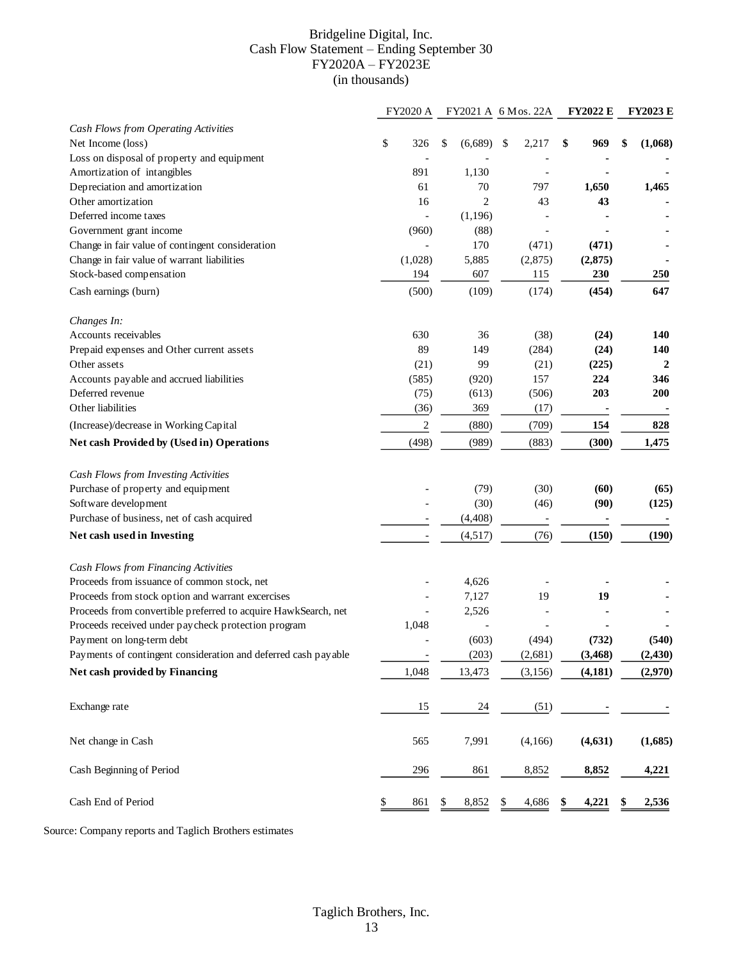#### Bridgeline Digital, Inc. Cash Flow Statement – Ending September 30 FY2020A – FY2023E (in thousands)

|                                                                | FY2020 A                 |               | FY2021 A 6 Mos. 22A      | <b>FY2022 E</b> | <b>FY2023 E</b> |
|----------------------------------------------------------------|--------------------------|---------------|--------------------------|-----------------|-----------------|
| Cash Flows from Operating Activities                           |                          |               |                          |                 |                 |
| Net Income (loss)                                              | \$<br>326                | \$<br>(6,689) | \$<br>2,217              | \$<br>969       | \$<br>(1,068)   |
| Loss on disposal of property and equipment                     |                          |               |                          |                 |                 |
| Amortization of intangibles                                    | 891                      | 1,130         | $\overline{\phantom{a}}$ |                 |                 |
| Depreciation and amortization                                  | 61                       | 70            | 797                      | 1,650           | 1,465           |
| Other amortization                                             | 16                       | 2             | 43                       | 43              |                 |
| Deferred income taxes                                          |                          | (1,196)       |                          |                 |                 |
| Government grant income                                        | (960)                    | (88)          | $\blacksquare$           |                 |                 |
| Change in fair value of contingent consideration               |                          | 170           | (471)                    | (471)           |                 |
| Change in fair value of warrant liabilities                    | (1,028)                  | 5,885         | (2,875)                  | (2, 875)        |                 |
| Stock-based compensation                                       | 194                      | 607           | 115                      | 230             | 250             |
| Cash earnings (burn)                                           | (500)                    | (109)         | (174)                    | (454)           | 647             |
|                                                                |                          |               |                          |                 |                 |
| Changes In:                                                    |                          |               |                          |                 |                 |
| Accounts receivables                                           | 630                      | 36            | (38)                     | (24)            | 140             |
| Prepaid expenses and Other current assets                      | 89                       | 149           | (284)                    | (24)            | 140             |
| Other assets                                                   | (21)                     | 99            | (21)                     | (225)           | 2               |
| Accounts payable and accrued liabilities                       | (585)                    | (920)         | 157                      | 224             | 346             |
| Deferred revenue                                               | (75)                     | (613)         | (506)                    | 203             | 200             |
| Other liabilities                                              | (36)                     | 369           | (17)                     |                 |                 |
| (Increase)/decrease in Working Capital                         | $\sqrt{2}$               | (880)         | (709)                    | 154             | 828             |
| Net cash Provided by (Used in) Operations                      | (498)                    | (989)         | (883)                    | (300)           | 1,475           |
|                                                                |                          |               |                          |                 |                 |
| Cash Flows from Investing Activities                           |                          |               |                          |                 |                 |
| Purchase of property and equipment                             |                          | (79)          | (30)                     | (60)            | (65)            |
| Software development                                           |                          | (30)          | (46)                     | (90)            | (125)           |
| Purchase of business, net of cash acquired                     |                          | (4, 408)      |                          |                 |                 |
| Net cash used in Investing                                     |                          | (4,517)       | (76)                     | (150)           | (190)           |
|                                                                |                          |               |                          |                 |                 |
| Cash Flows from Financing Activities                           |                          |               |                          |                 |                 |
| Proceeds from issuance of common stock, net                    |                          | 4,626         |                          |                 |                 |
| Proceeds from stock option and warrant excercises              |                          | 7,127         | 19                       | 19              |                 |
| Proceeds from convertible preferred to acquire HawkSearch, net |                          | 2,526         |                          |                 |                 |
| Proceeds received under paycheck protection program            | 1,048                    |               | $\overline{\phantom{a}}$ |                 |                 |
| Payment on long-term debt                                      |                          | (603)         | (494)                    | (732)           | (540)           |
| Payments of contingent consideration and deferred cash payable | $\overline{\phantom{0}}$ | (203)         | (2,681)                  | (3, 468)        | (2, 430)        |
| Net cash provided by Financing                                 | 1,048                    | 13,473        | (3, 156)                 | (4, 181)        | (2,970)         |
|                                                                |                          |               |                          |                 |                 |
| Exchange rate                                                  | 15                       | 24            | (51)                     |                 |                 |
|                                                                |                          |               |                          |                 |                 |
| Net change in Cash                                             | 565                      | 7,991         | (4,166)                  | (4, 631)        | (1,685)         |
| Cash Beginning of Period                                       | 296                      | 861           | 8,852                    | 8,852           | 4,221           |
| Cash End of Period                                             | \$<br>861                | \$<br>8,852   | \$<br>4,686              | \$<br>4,221     | \$<br>2,536     |
|                                                                |                          |               |                          |                 |                 |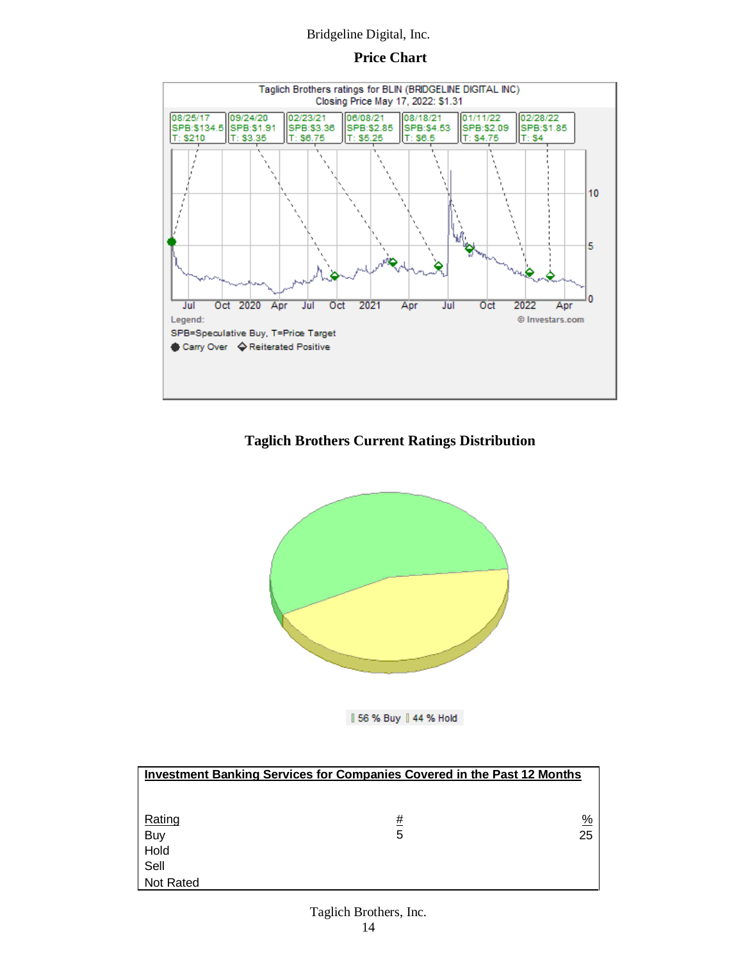### **Price Chart**



# **Taglich Brothers Current Ratings Distribution**



56 % Buy | 44 % Hold

| <b>Investment Banking Services for Companies Covered in the Past 12 Months</b> |          |               |  |  |  |  |  |
|--------------------------------------------------------------------------------|----------|---------------|--|--|--|--|--|
|                                                                                |          |               |  |  |  |  |  |
|                                                                                |          |               |  |  |  |  |  |
| Rating                                                                         | <u>#</u> | $\frac{9}{6}$ |  |  |  |  |  |
| Buy                                                                            | 5        | 25            |  |  |  |  |  |
| Hold                                                                           |          |               |  |  |  |  |  |
| Sell                                                                           |          |               |  |  |  |  |  |
| Not Rated                                                                      |          |               |  |  |  |  |  |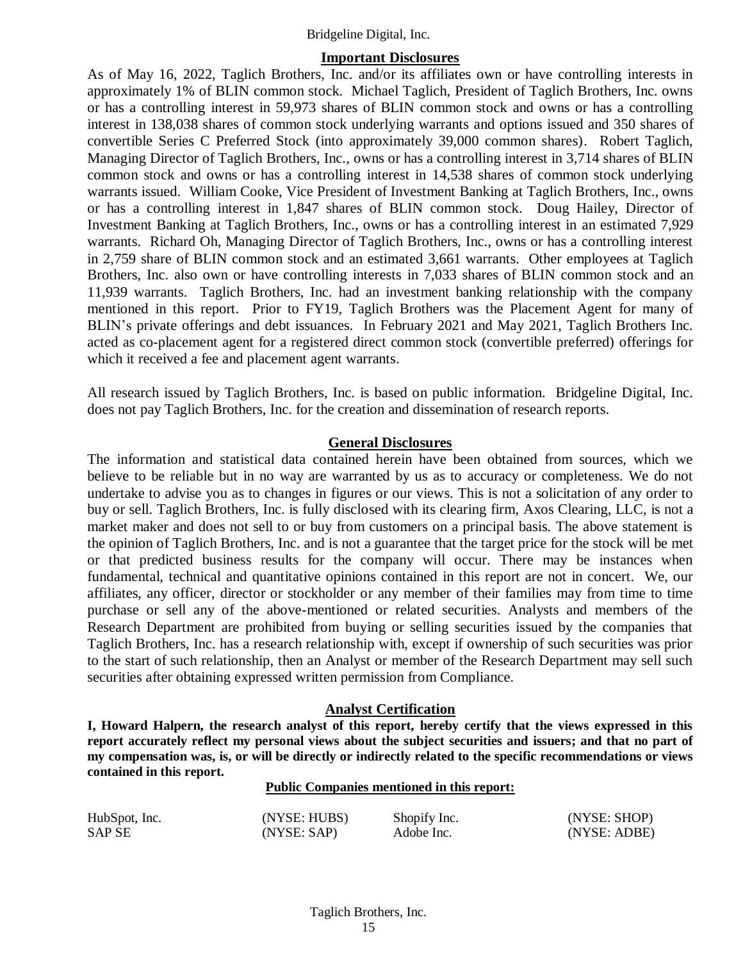#### **Important Disclosures**

As of May 16, 2022, Taglich Brothers, Inc. and/or its affiliates own or have controlling interests in approximately 1% of BLIN common stock. Michael Taglich, President of Taglich Brothers, Inc. owns or has a controlling interest in 59,973 shares of BLIN common stock and owns or has a controlling interest in 138,038 shares of common stock underlying warrants and options issued and 350 shares of convertible Series C Preferred Stock (into approximately 39,000 common shares). Robert Taglich, Managing Director of Taglich Brothers, Inc., owns or has a controlling interest in 3,714 shares of BLIN common stock and owns or has a controlling interest in 14,538 shares of common stock underlying warrants issued. William Cooke, Vice President of Investment Banking at Taglich Brothers, Inc., owns or has a controlling interest in 1,847 shares of BLIN common stock. Doug Hailey, Director of Investment Banking at Taglich Brothers, Inc., owns or has a controlling interest in an estimated 7,929 warrants. Richard Oh, Managing Director of Taglich Brothers, Inc., owns or has a controlling interest in 2,759 share of BLIN common stock and an estimated 3,661 warrants. Other employees at Taglich Brothers, Inc. also own or have controlling interests in 7,033 shares of BLIN common stock and an 11,939 warrants. Taglich Brothers, Inc. had an investment banking relationship with the company mentioned in this report. Prior to FY19, Taglich Brothers was the Placement Agent for many of BLIN's private offerings and debt issuances. In February 2021 and May 2021, Taglich Brothers Inc. acted as co-placement agent for a registered direct common stock (convertible preferred) offerings for which it received a fee and placement agent warrants.

All research issued by Taglich Brothers, Inc. is based on public information. Bridgeline Digital, Inc. does not pay Taglich Brothers, Inc. for the creation and dissemination of research reports.

#### **General Disclosures**

The information and statistical data contained herein have been obtained from sources, which we believe to be reliable but in no way are warranted by us as to accuracy or completeness. We do not undertake to advise you as to changes in figures or our views. This is not a solicitation of any order to buy or sell. Taglich Brothers, Inc. is fully disclosed with its clearing firm, Axos Clearing, LLC, is not a market maker and does not sell to or buy from customers on a principal basis. The above statement is the opinion of Taglich Brothers, Inc. and is not a guarantee that the target price for the stock will be met or that predicted business results for the company will occur. There may be instances when fundamental, technical and quantitative opinions contained in this report are not in concert. We, our affiliates, any officer, director or stockholder or any member of their families may from time to time purchase or sell any of the above-mentioned or related securities. Analysts and members of the Research Department are prohibited from buying or selling securities issued by the companies that Taglich Brothers, Inc. has a research relationship with, except if ownership of such securities was prior to the start of such relationship, then an Analyst or member of the Research Department may sell such securities after obtaining expressed written permission from Compliance.

#### **Analyst Certification**

**I, Howard Halpern, the research analyst of this report, hereby certify that the views expressed in this report accurately reflect my personal views about the subject securities and issuers; and that no part of my compensation was, is, or will be directly or indirectly related to the specific recommendations or views contained in this report.**

#### **Public Companies mentioned in this report:**

| HubSpot, Inc. | (NYSE: HUBS) | Shopify Inc. | (NYSE: SHOP) |
|---------------|--------------|--------------|--------------|
| SAP SE        | (NYSE: SAP)  | Adobe Inc.   | (NYSE: ADBE) |